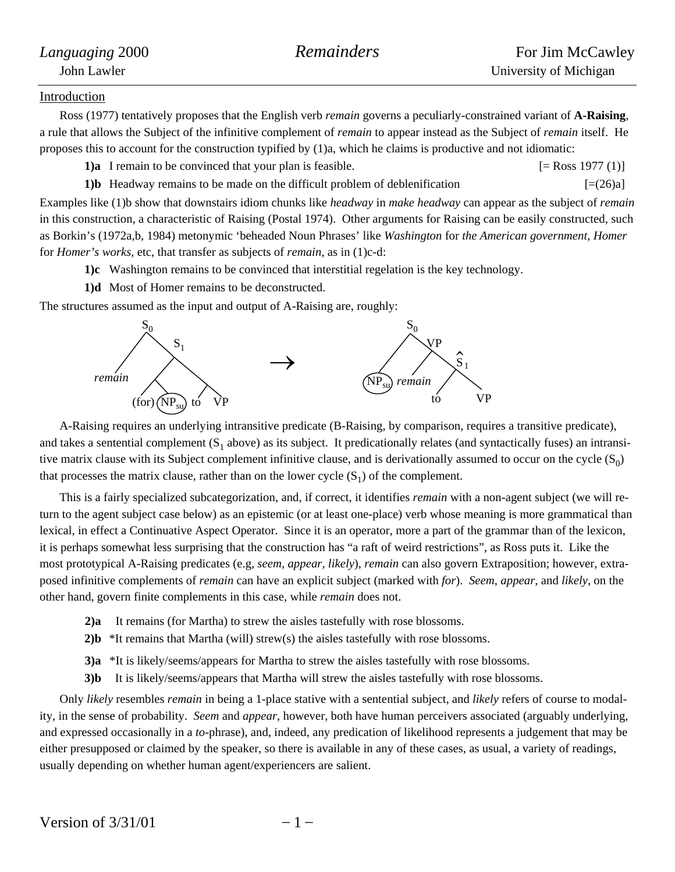## Introduction

Ross (1977) tentatively proposes that the English verb *remain* governs a peculiarly-constrained variant of **A-Raising**, a rule that allows the Subject of the infinitive complement of *remain* to appear instead as the Subject of *remain* itself. He proposes this to account for the construction typified by (1)a, which he claims is productive and not idiomatic:

**1)a** I remain to be convinced that your plan is feasible. [= Ross 1977 (1)]

**1)b** Headway remains to be made on the difficult problem of deblenification  $[=(26)a]$ 

Examples like (1)b show that downstairs idiom chunks like *headway* in *make headway* can appear as the subject of *remain* in this construction, a characteristic of Raising (Postal 1974). Other arguments for Raising can be easily constructed, such as Borkin's (1972a,b, 1984) metonymic 'beheaded Noun Phrases' like *Washington* for *the American government*, *Homer* for *Homer's works*, etc, that transfer as subjects of *remain*, as in (1)c-d:

**1)c** Washington remains to be convinced that interstitial regelation is the key technology.

**1)d** Most of Homer remains to be deconstructed.

The structures assumed as the input and output of A-Raising are, roughly:



A-Raising requires an underlying intransitive predicate (B-Raising, by comparison, requires a transitive predicate), and takes a sentential complement  $(S_1$  above) as its subject. It predicationally relates (and syntactically fuses) an intransitive matrix clause with its Subject complement infinitive clause, and is derivationally assumed to occur on the cycle  $(S_0)$ that processes the matrix clause, rather than on the lower cycle  $(S_1)$  of the complement.

This is a fairly specialized subcategorization, and, if correct, it identifies *remain* with a non-agent subject (we will return to the agent subject case below) as an epistemic (or at least one-place) verb whose meaning is more grammatical than lexical, in effect a Continuative Aspect Operator. Since it is an operator, more a part of the grammar than of the lexicon, it is perhaps somewhat less surprising that the construction has "a raft of weird restrictions", as Ross puts it. Like the most prototypical A-Raising predicates (e.g, *seem, appear, likely*), *remain* can also govern Extraposition; however, extraposed infinitive complements of *remain* can have an explicit subject (marked with *for*). *Seem, appear,* and *likely*, on the other hand, govern finite complements in this case, while *remain* does not.

- **2)a** It remains (for Martha) to strew the aisles tastefully with rose blossoms.
- **2)b** \*It remains that Martha (will) strew(s) the aisles tastefully with rose blossoms.
- **3)a** \*It is likely/seems/appears for Martha to strew the aisles tastefully with rose blossoms.
- **3)b** It is likely/seems/appears that Martha will strew the aisles tastefully with rose blossoms.

Only *likely* resembles *remain* in being a 1-place stative with a sentential subject, and *likely* refers of course to modality, in the sense of probability. *Seem* and *appear*, however, both have human perceivers associated (arguably underlying, and expressed occasionally in a *to*-phrase), and, indeed, any predication of likelihood represents a judgement that may be either presupposed or claimed by the speaker, so there is available in any of these cases, as usual, a variety of readings, usually depending on whether human agent/experiencers are salient.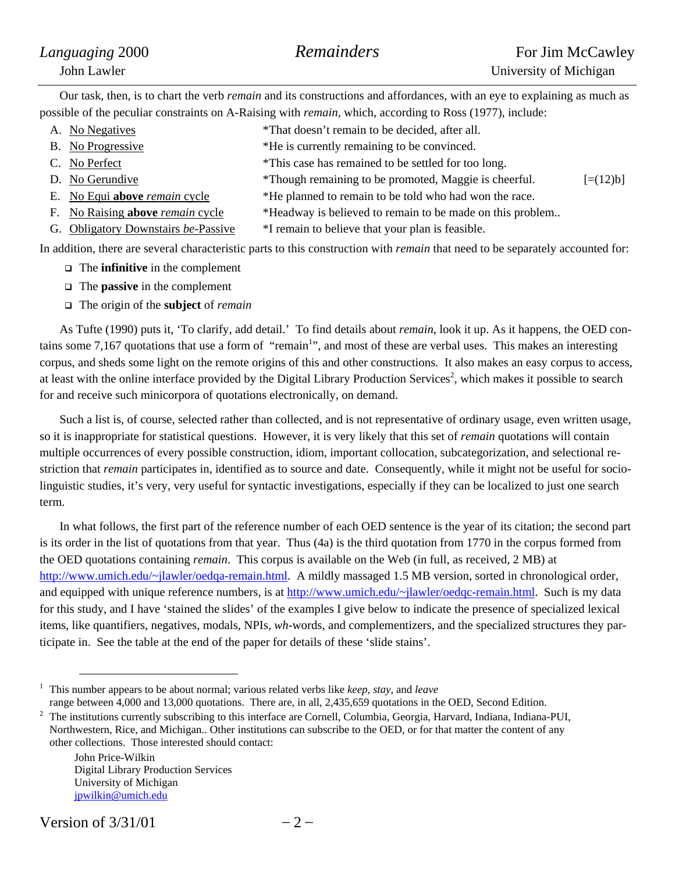| Languaging 2000 | Remainders | For Jim McCawley       |
|-----------------|------------|------------------------|
| John Lawler     |            | University of Michigan |

Our task, then, is to chart the verb *remain* and its constructions and affordances, with an eye to explaining as much as possible of the peculiar constraints on A-Raising with *remain*, which, according to Ross (1977), include:

- A. No Negatives \*That doesn't remain to be decided, after all.
- B. No Progressive  $*$ He is currently remaining to be convinced.
- C. No Perfect \*This case has remained to be settled for too long.
- 
- D. No Gerundive  $\ddot{P}$  \*Though remaining to be promoted, Maggie is cheerful.  $[=(12)b]$
- E. No Equi **above** *remain* cycle \*He planned to remain to be told who had won the race.
- F. No Raising **above** *remain* cycle \*Headway is believed to remain to be made on this problem..
- G. Obligatory Downstairs *be*-Passive \*I remain to believe that your plan is feasible.

In addition, there are several characteristic parts to this construction with *remain* that need to be separately accounted for:

- The **infinitive** in the complement
- The **passive** in the complement
- The origin of the **subject** of *remain*

As Tufte (1990) puts it, 'To clarify, add detail.' To find details about *remain*, look it up. As it happens, the OED con-tains some 7,167 quotations that use a form of ["](#page-1-0)remain<sup>1</sup>", and most of these are verbal uses. This makes an interesting corpus, and sheds some light on the remote origins of this and other constructions. It also makes an easy corpus to access, at least with the online interface provided by the Digital Library Production Services<sup>2</sup>[,](#page-1-1) which makes it possible to search for and receive such minicorpora of quotations electronically, on demand.

Such a list is, of course, selected rather than collected, and is not representative of ordinary usage, even written usage, so it is inappropriate for statistical questions. However, it is very likely that this set of *remain* quotations will contain multiple occurrences of every possible construction, idiom, important collocation, subcategorization, and selectional restriction that *remain* participates in, identified as to source and date. Consequently, while it might not be useful for sociolinguistic studies, it's very, very useful for syntactic investigations, especially if they can be localized to just one search term.

In what follows, the first part of the reference number of each OED sentence is the year of its citation; the second part is its order in the list of quotations from that year. Thus (4a) is the third quotation from 1770 in the corpus formed from the OED quotations containing *remain*. This corpus is available on the Web (in full, as received, 2 MB) at [http://www.umich.edu/~jlawler/oedqa-remain.html.](http://www.umich.edu/~jlawler/oedqa-remain.html) A mildly massaged 1.5 MB version, sorted in chronological order, and equipped with unique reference numbers, is at [http://www.umich.edu/~jlawler/oedqc-remain.html](http://www.umich.edu/~jlawler/oedqb-remain.html). Such is my data for this study, and I have 'stained the slides' of the examples I give below to indicate the presence of specialized lexical items, like quantifiers, negatives, modals, NPIs, *wh*-words, and complementizers, and the specialized structures they participate in. See the table at the end of the paper for details of these 'slide stains'.

John Price-Wilkin Digital Library Production Services University of Michigan [jpwilkin@umich.edu](mailto:jpwilkin@umich.edu)

<span id="page-1-0"></span> <sup>1</sup> This number appears to be about normal; various related verbs like *keep*, *stay*, and *leave* range between 4,000 and 13,000 quotations. There are, in all, 2,435,659 quotations in the OED, Second Edition. 2

<span id="page-1-1"></span>The institutions currently subscribing to this interface are Cornell, Columbia, Georgia, Harvard, Indiana, Indiana-PUI, Northwestern, Rice, and Michigan.. Other institutions can subscribe to the OED, or for that matter the content of any other collections. Those interested should contact: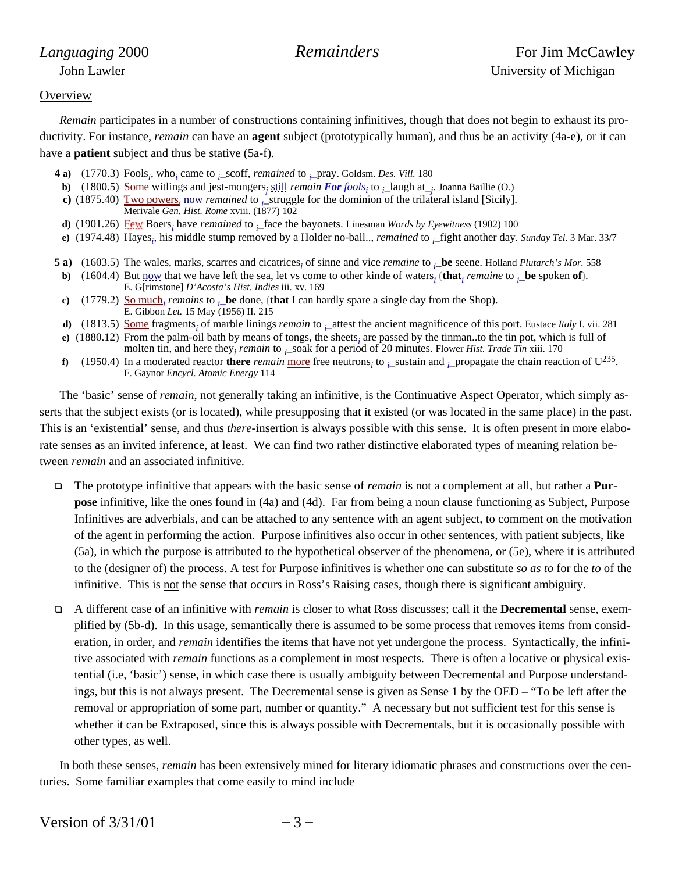### **Overview**

*Remain* participates in a number of constructions containing infinitives, though that does not begin to exhaust its productivity. For instance, *remain* can have an **agent** subject (prototypically human), and thus be an activity (4a-e), or it can have a **patient** subject and thus be stative (5a-f).

- **4 a**) (1770.3) Fools<sub>*i*</sub>, who<sub>*i*</sub> came to *<sub>i</sub>*\_scoff, *remained* to *<sub>i</sub>*\_pray. Goldsm. *Des. Vill.* 180
- **b**) (1800.5) <u>Some</u> witlings and jest-mongers<sub>j</sub> still *remain* **For** fools<sub>i</sub> to  $\mu$ -laugh at<sub>-j</sub>. Joanna Baillie (O.)
- **c**) (1875.40)  $\underline{\underline{Two~powers}}_i$  now *remained* to *i*\_struggle for the dominion of the trilateral island [Sicily]. Merivale *Gen. Hist. Rome* xviii. (1877) 102
- **d**) (1901.26)  $\frac{\text{Few}}{\text{Cew}}$  Boers<sub>i</sub> have *remained* to  $\frac{1}{n}$  face the bayonets. Linesman *Words by Eyewitness* (1902) 100
- **e)** (1974.48) Hayes*<sup>i</sup>* , his middle stump removed by a Holder no-ball.., *remained* to *<sup>i</sup>* \_fight another day. *Sunday Tel.* 3 Mar. 33/7
- **5 a)** (1603.5) The wales, marks, scarres and cicatrices<sub>i</sub> of sinne and vice *remaine* to  $\mu$ **be** seene. Holland *Plutarch's Mor.* 558
- **b**) (1604.4) But now that we have left the sea, let vs come to other kinde of waters<sub>i</sub> (that<sub>*i*</sub> *remaine* to  $\mu$ **be** spoken of). E. G[rimstone] *D'Acosta's Hist. Indies* iii. xv. 169
- **c**) (1779.2)  $\underline{\text{So much}}_i$  *remains* to  $\overline{\text{e}}_i$  **be** done, (**that** I can hardly spare a single day from the Shop). E. Gibbon *Let.* 15 May (1956) II. 215
- **d**) (1813.5) <u>Some</u> fragments<sub>*i*</sub> of marble linings *remain* to  $\frac{1}{i}$  attest the ancient magnificence of this port. Eustace *Italy* I. vii. 281
- **e**) (1880.12) From the palm-oil bath by means of tongs, the sheets<sub>i</sub> are passed by the tinman..to the tin pot, which is full of
- molten tin, and here they<sub>*i</sub> remain* to *i*\_soak for a period of 20 minutes. Flower *Hist. Trade Tin* xiii. 170</sub> **f)** (1950.4) In a moderated reactor **there** *remain* <u>more</u> free neutrons<sub>*i*</sub> to *i*\_sustain and *i*\_propagate the chain reaction of U<sup>235</sup>. F. Gaynor *Encycl. Atomic Energy* 114

The 'basic' sense of *remain*, not generally taking an infinitive, is the Continuative Aspect Operator, which simply asserts that the subject exists (or is located), while presupposing that it existed (or was located in the same place) in the past. This is an 'existential' sense, and thus *there*-insertion is always possible with this sense. It is often present in more elaborate senses as an invited inference, at least. We can find two rather distinctive elaborated types of meaning relation between *remain* and an associated infinitive.

- The prototype infinitive that appears with the basic sense of *remain* is not a complement at all, but rather a **Purpose** infinitive, like the ones found in (4a) and (4d). Far from being a noun clause functioning as Subject, Purpose Infinitives are adverbials, and can be attached to any sentence with an agent subject, to comment on the motivation of the agent in performing the action. Purpose infinitives also occur in other sentences, with patient subjects, like (5a), in which the purpose is attributed to the hypothetical observer of the phenomena, or (5e), where it is attributed to the (designer of) the process. A test for Purpose infinitives is whether one can substitute *so as to* for the *to* of the infinitive. This is not the sense that occurs in Ross's Raising cases, though there is significant ambiguity.
- A different case of an infinitive with *remain* is closer to what Ross discusses; call it the **Decremental** sense, exemplified by (5b-d). In this usage, semantically there is assumed to be some process that removes items from consideration, in order, and *remain* identifies the items that have not yet undergone the process. Syntactically, the infinitive associated with *remain* functions as a complement in most respects. There is often a locative or physical existential (i.e, 'basic') sense, in which case there is usually ambiguity between Decremental and Purpose understandings, but this is not always present. The Decremental sense is given as Sense 1 by the OED – "To be left after the removal or appropriation of some part, number or quantity." A necessary but not sufficient test for this sense is whether it can be Extraposed, since this is always possible with Decrementals, but it is occasionally possible with other types, as well.

In both these senses, *remain* has been extensively mined for literary idiomatic phrases and constructions over the centuries. Some familiar examples that come easily to mind include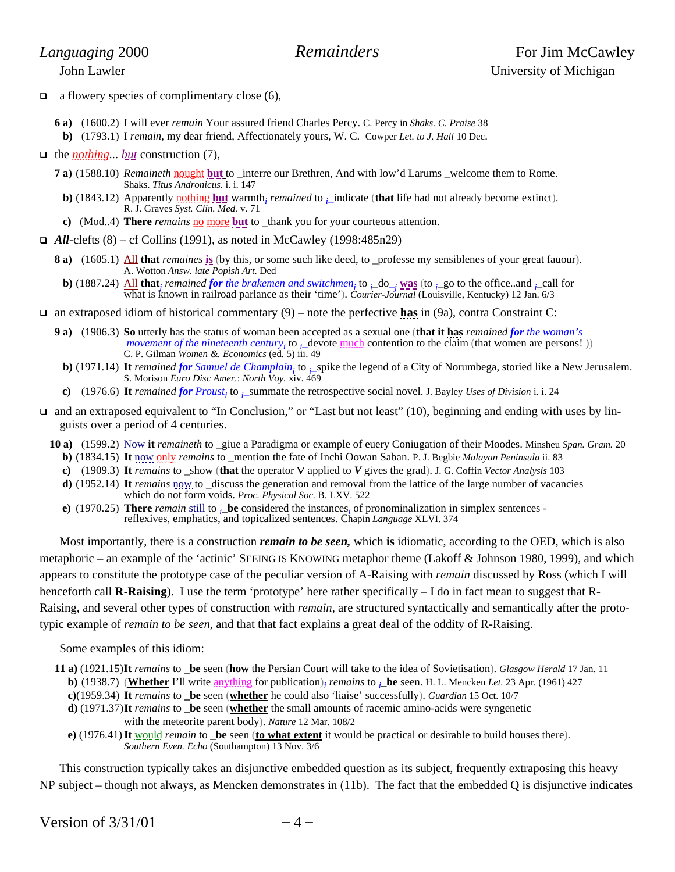- $\Box$  a flowery species of complimentary close (6),
	- **6 a)** (1600.2) I will ever *remain* Your assured friend Charles Percy. C. Percy in *Shaks. C. Praise* 38
	- **b)** (1793.1) I *remain*, my dear friend, Affectionately yours, W. C. Cowper *Let. to J. Hall* 10 Dec.
- the *nothing... but* construction (7),
	- **7 a)** (1588.10) *Remaineth* nought but to \_interre our Brethren, And with low'd Larums \_welcome them to Rome. Shaks. *Titus Andronicus*. i. i. 147
	- **b**) (1843.12) Apparently **nothing but** warmth<sub>i</sub> *remained* to  $\sum_{i=1}^{n}$  indicate (**that** life had not already become extinct). R. J. Graves *Syst. Clin. Med.* v. 71
	- **c**) (Mod..4) **There** *remains* no more but to \_thank you for your courteous attention.
- $\Box$  *All*-clefts (8) cf Collins (1991), as noted in McCawley (1998:485n29)
	- **8 a)** (1605.1)  $\underline{\text{All}}$  **that** *remaines* **is** (by this, or some such like deed, to \_professe my sensiblenes of your great fauour). A. Wotton *Answ. late Popish Art.* Ded
	- **b**) (1887.24)  $\underline{\text{All}}$  **that**<sub>*j</sub> remained for the brakemen and switchmen<sub>i</sub>* to  $\iota$ <sub>*-*</sub> **was** (to  $\iota$ -go to the office..and  $\iota$ -call for</sub> what is known in railroad parlance as their 'time'). *Courier-Journal* (Louisville, Kentucky) 12 Jan. 6/3
- an extraposed idiom of historical commentary (9) note the perfective **has** in (9a), contra Constraint C:
	- **9 a)** (1906.3) **So** utterly has the status of woman been accepted as a sexual one (**that it has** *remained for the woman's movement of the nineteenth century<sub>i</sub>* to *<sub>i</sub>* devote <u>much</u> contention to the claim (that women are persons!)) C. P. Gilman *Women &. Economics* (ed. 5) iii. 49
	- **b**) (1971.14) It *remained for Samuel de Champlain*<sub>i</sub> to  $\frac{1}{2}$  spike the legend of a City of Norumbega, storied like a New Jerusalem. S. Morison *Euro Disc Amer.*: *North Voy.* xiv. 469
	- **c**) (1976.6) It *remained for Proust<sub>i</sub>* to  $\frac{1}{k}$  summate the retrospective social novel. J. Bayley *Uses of Division* i. i. 24
- $\Box$  and an extraposed equivalent to "In Conclusion," or "Last but not least" (10), beginning and ending with uses by linguists over a period of 4 centuries.
	- **10 a)** (1599.2) Now **it** *remaineth* to \_giue a Paradigma or example of euery Coniugation of their Moodes. Minsheu *Span. Gram.* 20
		- **b)** (1834.15) **It** now only *remains* to \_mention the fate of Inchi Oowan Saban. P. J. Begbie *Malayan Peninsula* ii. 83
		- **c)** (1909.3) **It** *remains* to \_show (**that** the operator ∇ applied to *V* gives the grad). J. G. Coffin *Vector Analysis* 103
		- **d)** (1952.14) **It** *remains* now to \_discuss the generation and removal from the lattice of the large number of vacancies which do not form voids. *Proc. Physical Soc.* B. LXV. 522
		- **e**) (1970.25) **There** *remain* still to  $\frac{1}{i}$  **be** considered the instances<sub>*i*</sub> of pronominalization in simplex sentences reflexives, emphatics, and topicalized sentences. Chapin *Language* XLVI. 374

Most importantly, there is a construction *remain to be seen,* which **is** idiomatic, according to the OED, which is also metaphoric – an example of the 'actinic' SEEING IS KNOWING metaphor theme (Lakoff & Johnson 1980, 1999), and which appears to constitute the prototype case of the peculiar version of A-Raising with *remain* discussed by Ross (which I will henceforth call **R-Raising**). I use the term 'prototype' here rather specifically – I do in fact mean to suggest that R-Raising, and several other types of construction with *remain*, are structured syntactically and semantically after the prototypic example of *remain to be seen*, and that that fact explains a great deal of the oddity of R-Raising.

Some examples of this idiom:

- **11 a)** (1921.15) **It** *remains* to **\_be** seen (**how** the Persian Court will take to the idea of Sovietisation). *Glasgow Herald* 17 Jan. 11
- **b**) (1938.7) (**Whether** I'll write  $\frac{anything}{any}$  for publication)<sub>*i*</sub> *remains* to  $\frac{1}{y}$  **be** seen. H. L. Mencken *Let.* 23 Apr. (1961) 427
	- **c)**(1959.34) **It** *remains* to **\_be** seen (**whether** he could also 'liaise' successfully). *Guardian* 15 Oct. 10/7
	- **d)** (1971.37) **It** *remains* to **\_be** seen (**whether** the small amounts of racemic amino-acids were syngenetic with the meteorite parent body). *Nature* 12 Mar. 108/2
	- **e)** (1976.41) **It** would *remain* to **\_be** seen (**to what extent** it would be practical or desirable to build houses there). *Southern Even. Echo* (Southampton) 13 Nov. 3/6

This construction typically takes an disjunctive embedded question as its subject, frequently extraposing this heavy NP subject – though not always, as Mencken demonstrates in  $(11b)$ . The fact that the embedded Q is disjunctive indicates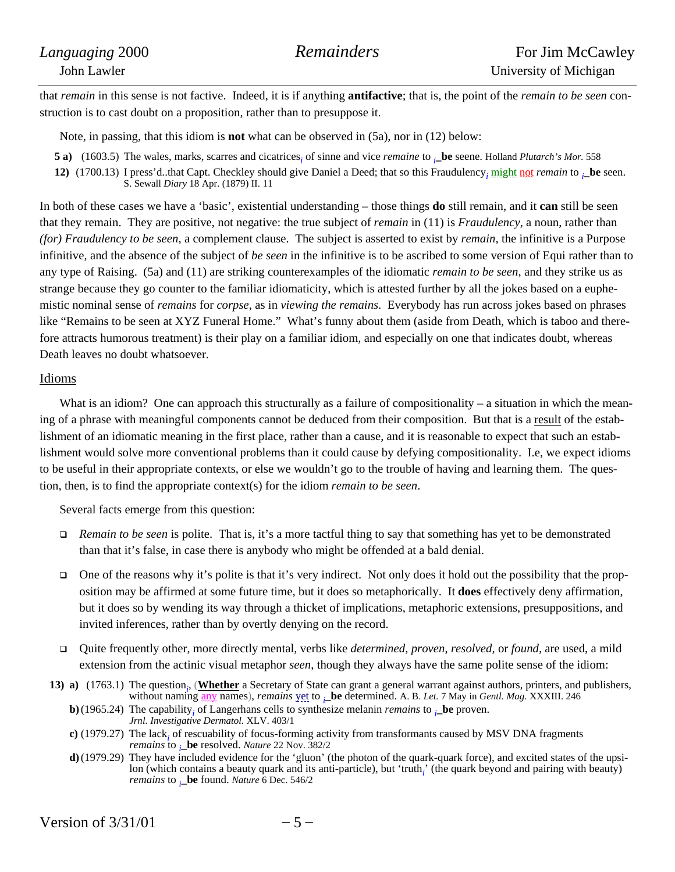that *remain* in this sense is not factive. Indeed, it is if anything **antifactive**; that is, the point of the *remain to be seen* construction is to cast doubt on a proposition, rather than to presuppose it.

Note, in passing, that this idiom is **not** what can be observed in (5a), nor in (12) below:

- **5 a)** (1603.5) The wales, marks, scarres and cicatrices<sub>i</sub> of sinne and vice *remaine* to  $\mu$ **be** seene. Holland *Plutarch's Mor.* 558
- **12)** (1700.13) I press'd..that Capt. Checkley should give Daniel a Deed; that so this Fraudulency*<sup>i</sup>* might not *remain* to *<sup>i</sup>* **\_be** seen. S. Sewall *Diary* 18 Apr. (1879) II. 11

In both of these cases we have a 'basic', existential understanding – those things **do** still remain, and it **can** still be seen that they remain. They are positive, not negative: the true subject of *remain* in (11) is *Fraudulency*, a noun, rather than *(for) Fraudulency to be seen*, a complement clause. The subject is asserted to exist by *remain*, the infinitive is a Purpose infinitive, and the absence of the subject of *be seen* in the infinitive is to be ascribed to some version of Equi rather than to any type of Raising. (5a) and (11) are striking counterexamples of the idiomatic *remain to be seen*, and they strike us as strange because they go counter to the familiar idiomaticity, which is attested further by all the jokes based on a euphemistic nominal sense of *remains* for *corpse*, as in *viewing the remains*. Everybody has run across jokes based on phrases like "Remains to be seen at XYZ Funeral Home." What's funny about them (aside from Death, which is taboo and therefore attracts humorous treatment) is their play on a familiar idiom, and especially on one that indicates doubt, whereas Death leaves no doubt whatsoever.

# Idioms

What is an idiom? One can approach this structurally as a failure of compositionality – a situation in which the meaning of a phrase with meaningful components cannot be deduced from their composition. But that is a result of the establishment of an idiomatic meaning in the first place, rather than a cause, and it is reasonable to expect that such an establishment would solve more conventional problems than it could cause by defying compositionality. I.e, we expect idioms to be useful in their appropriate contexts, or else we wouldn't go to the trouble of having and learning them. The question, then, is to find the appropriate context(s) for the idiom *remain to be seen*.

Several facts emerge from this question:

- *Remain to be seen* is polite. That is, it's a more tactful thing to say that something has yet to be demonstrated than that it's false, in case there is anybody who might be offended at a bald denial.
- One of the reasons why it's polite is that it's very indirect. Not only does it hold out the possibility that the proposition may be affirmed at some future time, but it does so metaphorically. It **does** effectively deny affirmation, but it does so by wending its way through a thicket of implications, metaphoric extensions, presuppositions, and invited inferences, rather than by overtly denying on the record.
- Quite frequently other, more directly mental, verbs like *determined*, *proven*, *resolved,* or *found,* are used, a mild extension from the actinic visual metaphor *seen*, though they always have the same polite sense of the idiom:
- **13)** a) (1763.1) The question<sub>*i*</sub>, (**Whether** a Secretary of State can grant a general warrant against authors, printers, and publishers, without naming any names), *remains* yet to *<sup>i</sup>* **\_be** determined. A. B. *Let.* 7 May in *Gentl. Mag.* XXXIII. 246
	- **b**)(1965.24) The capability<sub>i</sub> of Langerhans cells to synthesize melanin *remains* to  $\mu$ **be** proven. *Jrnl. Investigative Dermatol.* XLV. 403/1
	- **c)** (1979.27) The lack*<sup>i</sup>* of rescuability of focus-forming activity from transformants caused by MSV DNA fragments *remains* to *<sup>i</sup>* **\_be** resolved. *Nature* 22 Nov. 382/2
	- **d)**(1979.29) They have included evidence for the 'gluon' (the photon of the quark-quark force), and excited states of the upsilon (which contains a beauty quark and its anti-particle), but 'truth<sub>i</sub>' (the quark beyond and pairing with beauty) *remains* to *<sup>i</sup>* **\_be** found. *Nature* 6 Dec. 546/2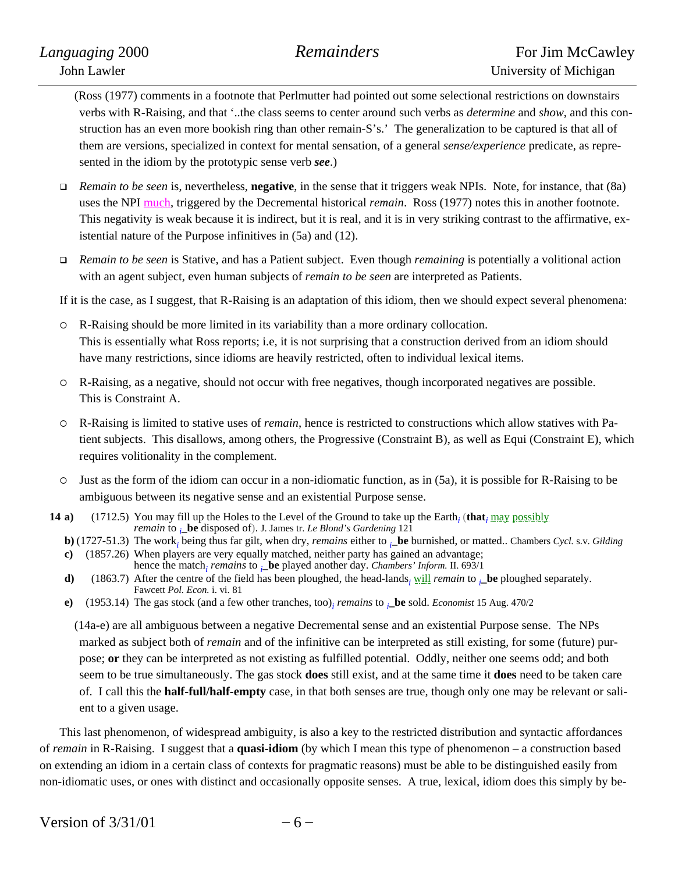(Ross (1977) comments in a footnote that Perlmutter had pointed out some selectional restrictions on downstairs verbs with R-Raising, and that '..the class seems to center around such verbs as *determine* and *show*, and this construction has an even more bookish ring than other remain-S's.' The generalization to be captured is that all of them are versions, specialized in context for mental sensation, of a general *sense/experience* predicate, as represented in the idiom by the prototypic sense verb *see*.)

- *Remain to be seen* is, nevertheless, **negative**, in the sense that it triggers weak NPIs. Note, for instance, that (8a) uses the NPI much, triggered by the Decremental historical *remain*. Ross (1977) notes this in another footnote. This negativity is weak because it is indirect, but it is real, and it is in very striking contrast to the affirmative, existential nature of the Purpose infinitives in (5a) and (12).
- *Remain to be seen* is Stative, and has a Patient subject. Even though *remaining* is potentially a volitional action with an agent subject, even human subjects of *remain to be seen* are interpreted as Patients.

If it is the case, as I suggest, that R-Raising is an adaptation of this idiom, then we should expect several phenomena:

- { R-Raising should be more limited in its variability than a more ordinary collocation. This is essentially what Ross reports; i.e, it is not surprising that a construction derived from an idiom should have many restrictions, since idioms are heavily restricted, often to individual lexical items.
- { R-Raising, as a negative, should not occur with free negatives, though incorporated negatives are possible. This is Constraint A.
- { R-Raising is limited to stative uses of *remain*, hence is restricted to constructions which allow statives with Patient subjects. This disallows, among others, the Progressive (Constraint B), as well as Equi (Constraint E), which requires volitionality in the complement.
- $\circ$  Just as the form of the idiom can occur in a non-idiomatic function, as in (5a), it is possible for R-Raising to be ambiguous between its negative sense and an existential Purpose sense.
- **14 a)** (1712.5) You may fill up the Holes to the Level of the Ground to take up the Earth<sub>i</sub> (that<sub>*i*</sub> may possibly **\_be** disposed of). J. James tr. *Le Blond's Gardening* 121
	- **b)** (1727-51.3) The work*<sup>i</sup>* being thus far gilt, when dry, *remains* either to *<sup>i</sup>* **\_be** burnished, or matted.. Chambers *Cycl.* s.v. *Gilding*
	- **c)** (1857.26) When players are very equally matched, neither party has gained an advantage; hence the match*<sup>i</sup> remains* to *<sup>i</sup>* **\_be** played another day. *Chambers' Inform.* II. 693/1
	- **d**) (1863.7) After the centre of the field has been ploughed, the head-lands<sub>*i*</sub> will *remain* to *<sub>i</sub>***be** ploughed separately. Fawcett *Pol. Econ.* i. vi. 81
	- **e)** (1953.14) The gas stock (and a few other tranches, too)*<sup>i</sup> remains* to *<sup>i</sup>* **\_be** sold. *Economist* 15 Aug. 470/2

(14a-e) are all ambiguous between a negative Decremental sense and an existential Purpose sense. The NPs marked as subject both of *remain* and of the infinitive can be interpreted as still existing, for some (future) purpose; **or** they can be interpreted as not existing as fulfilled potential. Oddly, neither one seems odd; and both seem to be true simultaneously. The gas stock **does** still exist, and at the same time it **does** need to be taken care of. I call this the **half-full/half-empty** case, in that both senses are true, though only one may be relevant or salient to a given usage.

This last phenomenon, of widespread ambiguity, is also a key to the restricted distribution and syntactic affordances of *remain* in R-Raising. I suggest that a **quasi-idiom** (by which I mean this type of phenomenon – a construction based on extending an idiom in a certain class of contexts for pragmatic reasons) must be able to be distinguished easily from non-idiomatic uses, or ones with distinct and occasionally opposite senses. A true, lexical, idiom does this simply by be-